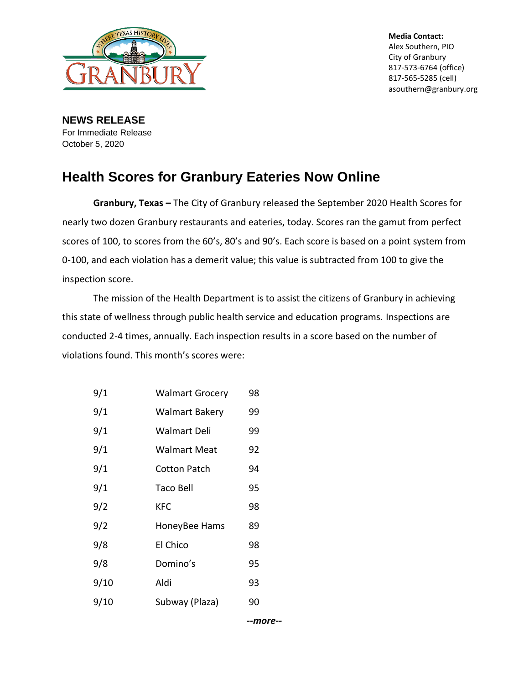

**Media Contact:** Alex Southern, PIO City of Granbury 817-573-6764 (office) 817-565-5285 (cell) asouthern@granbury.org

**NEWS RELEASE** For Immediate Release October 5, 2020

## **Health Scores for Granbury Eateries Now Online**

**Granbury, Texas –** The City of Granbury released the September 2020 Health Scores for nearly two dozen Granbury restaurants and eateries, today. Scores ran the gamut from perfect scores of 100, to scores from the 60's, 80's and 90's. Each score is based on a point system from 0-100, and each violation has a demerit value; this value is subtracted from 100 to give the inspection score.

The mission of the Health Department is to assist the citizens of Granbury in achieving this state of wellness through public health service and education programs. Inspections are conducted 2-4 times, annually. Each inspection results in a score based on the number of violations found. This month's scores were:

| 9/1  | <b>Walmart Grocery</b> | 98 |
|------|------------------------|----|
| 9/1  | Walmart Bakery         | 99 |
| 9/1  | <b>Walmart Deli</b>    | 99 |
| 9/1  | Walmart Meat           | 92 |
| 9/1  | Cotton Patch           | 94 |
| 9/1  | <b>Taco Bell</b>       | 95 |
| 9/2  | KFC                    | 98 |
| 9/2  | HoneyBee Hams          | 89 |
| 9/8  | El Chico               | 98 |
| 9/8  | Domino's               | 95 |
| 9/10 | Aldi                   | 93 |
| 9/10 | Subway (Plaza)         | 90 |

*--more--*